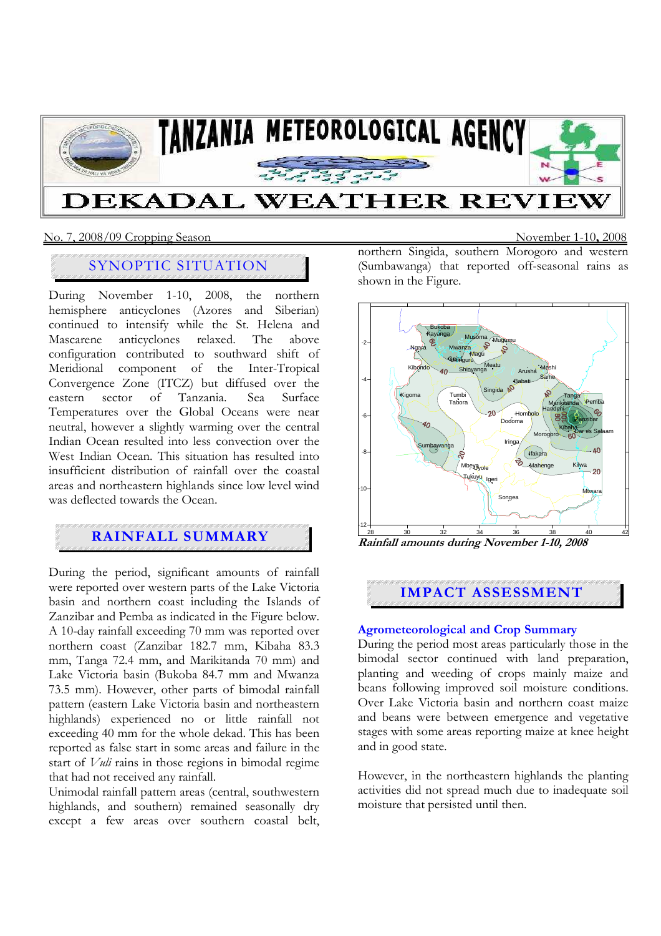

### No. 7, 2008/09 Cropping Season November 1-10**,** 2008

# SYNOPTIC SITUATION

During November 1-10, 2008, the northern hemisphere anticyclones (Azores and Siberian) continued to intensify while the St. Helena and Mascarene anticyclones relaxed. The above configuration contributed to southward shift of Meridional component of the Inter-Tropical Convergence Zone (ITCZ) but diffused over the eastern sector of Tanzania. Sea Surface Temperatures over the Global Oceans were near neutral, however a slightly warming over the central Indian Ocean resulted into less convection over the West Indian Ocean. This situation has resulted into insufficient distribution of rainfall over the coastal areas and northeastern highlands since low level wind was deflected towards the Ocean.

## **RAINFALL SUMMARY**

During the period, significant amounts of rainfall were reported over western parts of the Lake Victoria basin and northern coast including the Islands of Zanzibar and Pemba as indicated in the Figure below. A 10-day rainfall exceeding 70 mm was reported over northern coast (Zanzibar 182.7 mm, Kibaha 83.3 mm, Tanga 72.4 mm, and Marikitanda 70 mm) and Lake Victoria basin (Bukoba 84.7 mm and Mwanza 73.5 mm). However, other parts of bimodal rainfall pattern (eastern Lake Victoria basin and northeastern highlands) experienced no or little rainfall not exceeding 40 mm for the whole dekad. This has been reported as false start in some areas and failure in the start of *Vuli* rains in those regions in bimodal regime that had not received any rainfall.

Unimodal rainfall pattern areas (central, southwestern highlands, and southern) remained seasonally dry except a few areas over southern coastal belt, northern Singida, southern Morogoro and western (Sumbawanga) that reported off-seasonal rains as shown in the Figure.



**Rainfall amounts during November 1-10, 2008** 

## **IMPACT ASSESSMENT**

#### **Agrometeorological and Crop Summary**

During the period most areas particularly those in the bimodal sector continued with land preparation, planting and weeding of crops mainly maize and beans following improved soil moisture conditions. Over Lake Victoria basin and northern coast maize and beans were between emergence and vegetative stages with some areas reporting maize at knee height and in good state.

However, in the northeastern highlands the planting activities did not spread much due to inadequate soil moisture that persisted until then.